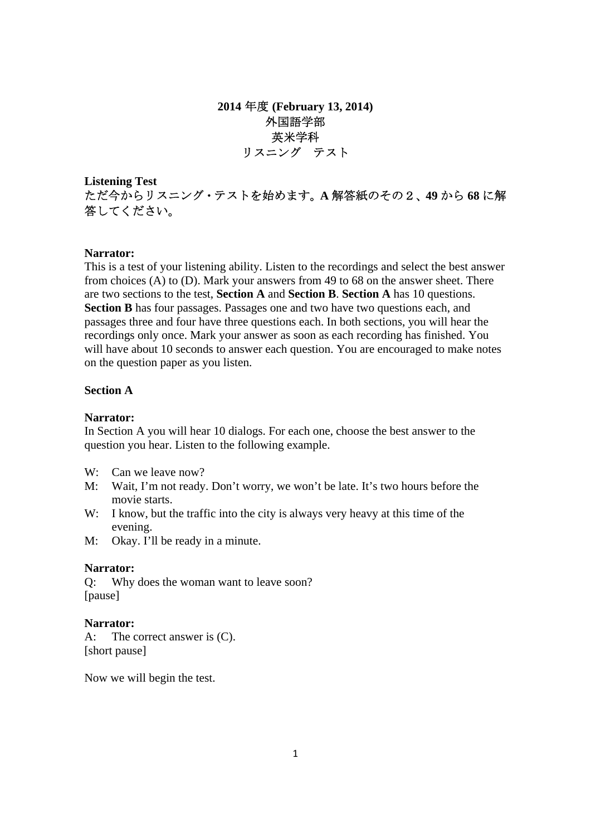**2014** 年度 **(February 13, 2014)**  外国語学部 英米学科 リスニング テスト

**Listening Test**  ただ今からリスニング・テストを始めます。**A** 解答紙のその2、**49** から **68** に解 答してください。

#### **Narrator:**

This is a test of your listening ability. Listen to the recordings and select the best answer from choices (A) to (D). Mark your answers from 49 to 68 on the answer sheet. There are two sections to the test, **Section A** and **Section B**. **Section A** has 10 questions. **Section B** has four passages. Passages one and two have two questions each, and passages three and four have three questions each. In both sections, you will hear the recordings only once. Mark your answer as soon as each recording has finished. You will have about 10 seconds to answer each question. You are encouraged to make notes on the question paper as you listen.

## **Section A**

### **Narrator:**

In Section A you will hear 10 dialogs. For each one, choose the best answer to the question you hear. Listen to the following example.

- W: Can we leave now?
- M: Wait, I'm not ready. Don't worry, we won't be late. It's two hours before the movie starts.
- W: I know, but the traffic into the city is always very heavy at this time of the evening.
- M: Okay. I'll be ready in a minute.

### **Narrator:**

Q: Why does the woman want to leave soon? [pause]

### **Narrator:**

A: The correct answer is (C). [short pause]

Now we will begin the test.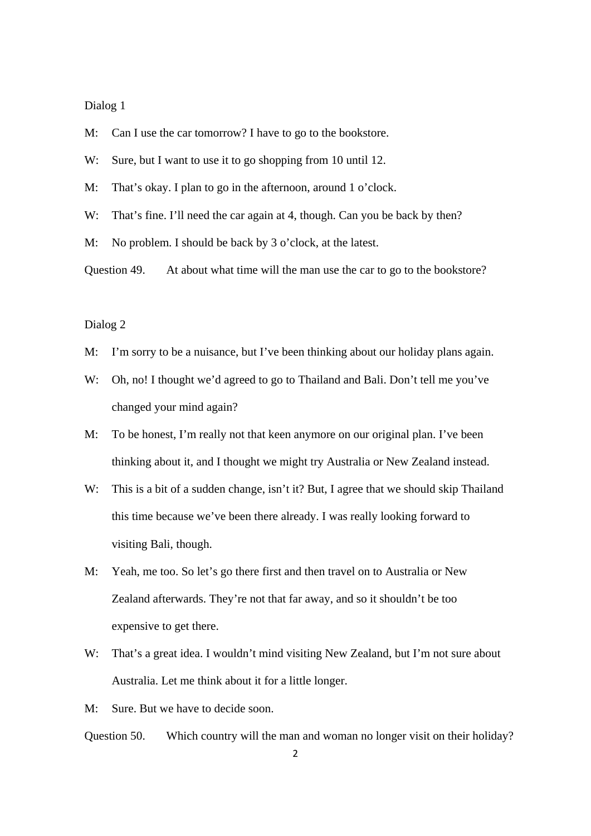- M: Can I use the car tomorrow? I have to go to the bookstore.
- W: Sure, but I want to use it to go shopping from 10 until 12.
- M: That's okay. I plan to go in the afternoon, around 1 o'clock.
- W: That's fine. I'll need the car again at 4, though. Can you be back by then?
- M: No problem. I should be back by 3 o'clock, at the latest.
- Question 49. At about what time will the man use the car to go to the bookstore?

### Dialog 2

- M: I'm sorry to be a nuisance, but I've been thinking about our holiday plans again.
- W: Oh, no! I thought we'd agreed to go to Thailand and Bali. Don't tell me you've changed your mind again?
- M: To be honest, I'm really not that keen anymore on our original plan. I've been thinking about it, and I thought we might try Australia or New Zealand instead.
- W: This is a bit of a sudden change, isn't it? But, I agree that we should skip Thailand this time because we've been there already. I was really looking forward to visiting Bali, though.
- M: Yeah, me too. So let's go there first and then travel on to Australia or New Zealand afterwards. They're not that far away, and so it shouldn't be too expensive to get there.
- W: That's a great idea. I wouldn't mind visiting New Zealand, but I'm not sure about Australia. Let me think about it for a little longer.

M: Sure. But we have to decide soon.

Question 50. Which country will the man and woman no longer visit on their holiday?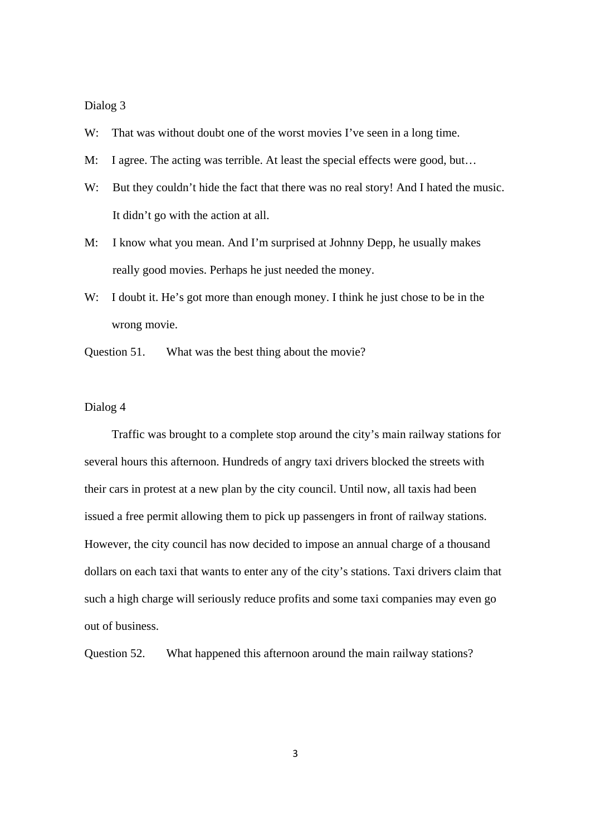W: That was without doubt one of the worst movies I've seen in a long time.

- M: I agree. The acting was terrible. At least the special effects were good, but…
- W: But they couldn't hide the fact that there was no real story! And I hated the music. It didn't go with the action at all.
- M: I know what you mean. And I'm surprised at Johnny Depp, he usually makes really good movies. Perhaps he just needed the money.
- W: I doubt it. He's got more than enough money. I think he just chose to be in the wrong movie.
- Question 51. What was the best thing about the movie?

## Dialog 4

 Traffic was brought to a complete stop around the city's main railway stations for several hours this afternoon. Hundreds of angry taxi drivers blocked the streets with their cars in protest at a new plan by the city council. Until now, all taxis had been issued a free permit allowing them to pick up passengers in front of railway stations. However, the city council has now decided to impose an annual charge of a thousand dollars on each taxi that wants to enter any of the city's stations. Taxi drivers claim that such a high charge will seriously reduce profits and some taxi companies may even go out of business.

Question 52. What happened this afternoon around the main railway stations?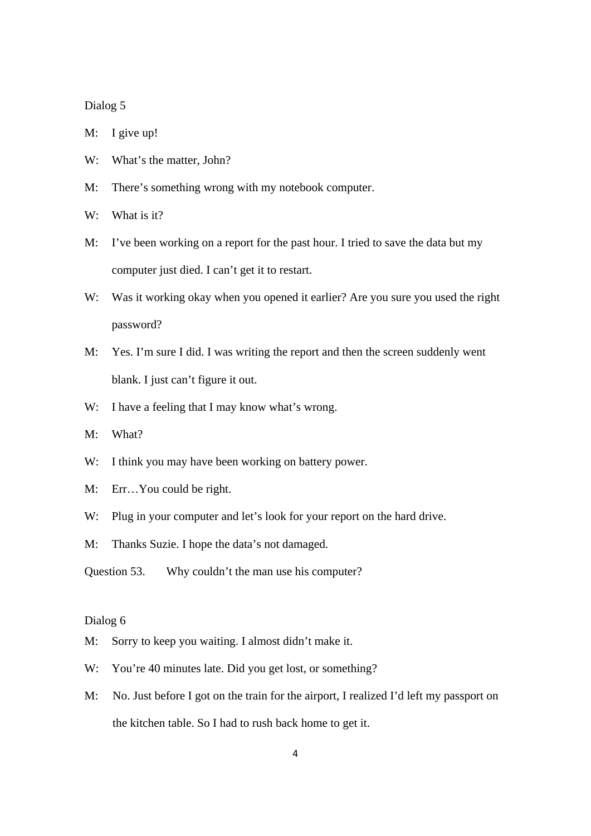M: I give up!

- W: What's the matter, John?
- M: There's something wrong with my notebook computer.
- $W^{\dagger}$  What is it?
- M: I've been working on a report for the past hour. I tried to save the data but my computer just died. I can't get it to restart.
- W: Was it working okay when you opened it earlier? Are you sure you used the right password?
- M: Yes. I'm sure I did. I was writing the report and then the screen suddenly went blank. I just can't figure it out.
- W: I have a feeling that I may know what's wrong.
- M: What?
- W: I think you may have been working on battery power.
- M: Err…You could be right.
- W: Plug in your computer and let's look for your report on the hard drive.
- M: Thanks Suzie. I hope the data's not damaged.

Question 53. Why couldn't the man use his computer?

### Dialog 6

- M: Sorry to keep you waiting. I almost didn't make it.
- W: You're 40 minutes late. Did you get lost, or something?
- M: No. Just before I got on the train for the airport, I realized I'd left my passport on the kitchen table. So I had to rush back home to get it.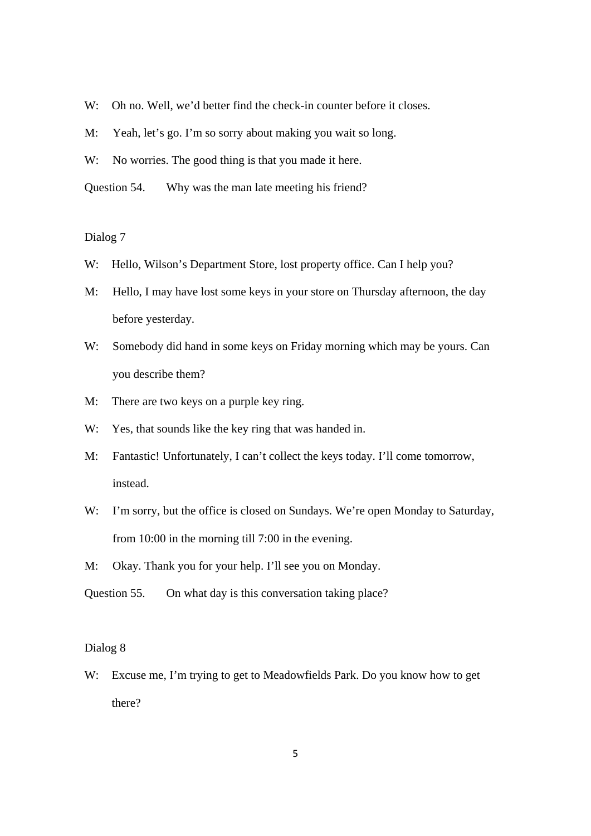- W: Oh no. Well, we'd better find the check-in counter before it closes.
- M: Yeah, let's go. I'm so sorry about making you wait so long.
- W: No worries. The good thing is that you made it here.
- Question 54. Why was the man late meeting his friend?

- W: Hello, Wilson's Department Store, lost property office. Can I help you?
- M: Hello, I may have lost some keys in your store on Thursday afternoon, the day before yesterday.
- W: Somebody did hand in some keys on Friday morning which may be yours. Can you describe them?
- M: There are two keys on a purple key ring.
- W: Yes, that sounds like the key ring that was handed in.
- M: Fantastic! Unfortunately, I can't collect the keys today. I'll come tomorrow, instead.
- W: I'm sorry, but the office is closed on Sundays. We're open Monday to Saturday, from 10:00 in the morning till 7:00 in the evening.
- M: Okay. Thank you for your help. I'll see you on Monday.

Question 55. On what day is this conversation taking place?

### Dialog 8

W: Excuse me, I'm trying to get to Meadowfields Park. Do you know how to get there?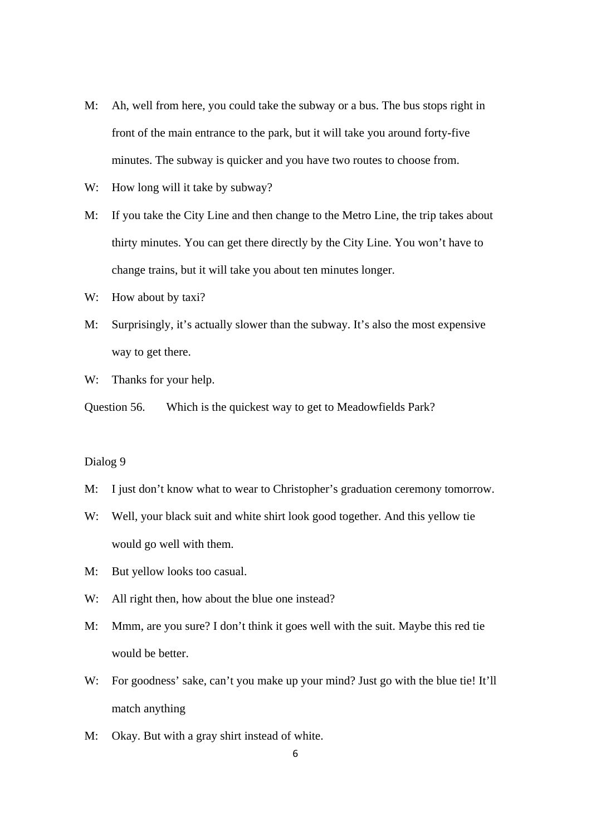- M: Ah, well from here, you could take the subway or a bus. The bus stops right in front of the main entrance to the park, but it will take you around forty-five minutes. The subway is quicker and you have two routes to choose from.
- W: How long will it take by subway?
- M: If you take the City Line and then change to the Metro Line, the trip takes about thirty minutes. You can get there directly by the City Line. You won't have to change trains, but it will take you about ten minutes longer.
- W: How about by taxi?
- M: Surprisingly, it's actually slower than the subway. It's also the most expensive way to get there.
- W: Thanks for your help.
- Question 56. Which is the quickest way to get to Meadowfields Park?

- M: I just don't know what to wear to Christopher's graduation ceremony tomorrow.
- W: Well, your black suit and white shirt look good together. And this yellow tie would go well with them.
- M: But yellow looks too casual.
- W: All right then, how about the blue one instead?
- M: Mmm, are you sure? I don't think it goes well with the suit. Maybe this red tie would be better.
- W: For goodness' sake, can't you make up your mind? Just go with the blue tie! It'll match anything
- M: Okay. But with a gray shirt instead of white.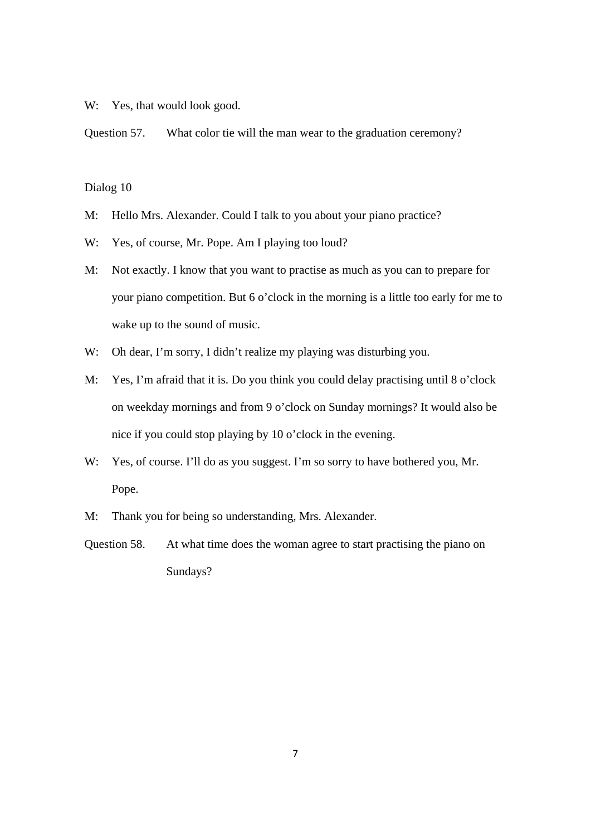W: Yes, that would look good.

Question 57. What color tie will the man wear to the graduation ceremony?

Dialog 10

- M: Hello Mrs. Alexander. Could I talk to you about your piano practice?
- W: Yes, of course, Mr. Pope. Am I playing too loud?
- M: Not exactly. I know that you want to practise as much as you can to prepare for your piano competition. But 6 o'clock in the morning is a little too early for me to wake up to the sound of music.
- W: Oh dear, I'm sorry, I didn't realize my playing was disturbing you.
- M: Yes, I'm afraid that it is. Do you think you could delay practising until 8 o'clock on weekday mornings and from 9 o'clock on Sunday mornings? It would also be nice if you could stop playing by 10 o'clock in the evening.
- W: Yes, of course. I'll do as you suggest. I'm so sorry to have bothered you, Mr. Pope.
- M: Thank you for being so understanding, Mrs. Alexander.
- Question 58. At what time does the woman agree to start practising the piano on Sundays?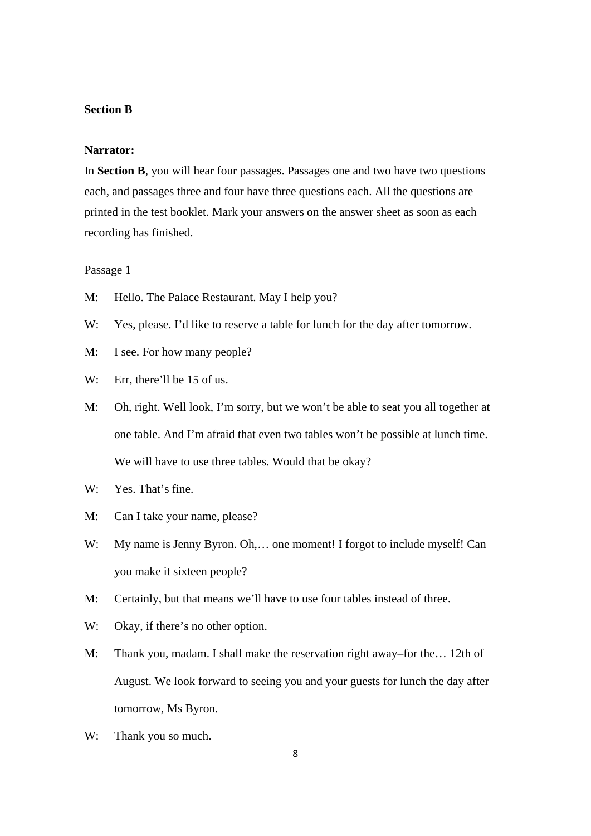### **Section B**

### **Narrator:**

In **Section B**, you will hear four passages. Passages one and two have two questions each, and passages three and four have three questions each. All the questions are printed in the test booklet. Mark your answers on the answer sheet as soon as each recording has finished.

### Passage 1

- M: Hello. The Palace Restaurant. May I help you?
- W: Yes, please. I'd like to reserve a table for lunch for the day after tomorrow.
- M: I see. For how many people?
- W: Err, there'll be 15 of us.
- M: Oh, right. Well look, I'm sorry, but we won't be able to seat you all together at one table. And I'm afraid that even two tables won't be possible at lunch time. We will have to use three tables. Would that be okay?
- W: Yes. That's fine.
- M: Can I take your name, please?
- W: My name is Jenny Byron. Oh,... one moment! I forgot to include myself! Can you make it sixteen people?
- M: Certainly, but that means we'll have to use four tables instead of three.
- W: Okay, if there's no other option.
- M: Thank you, madam. I shall make the reservation right away–for the… 12th of August. We look forward to seeing you and your guests for lunch the day after tomorrow, Ms Byron.
- W: Thank you so much.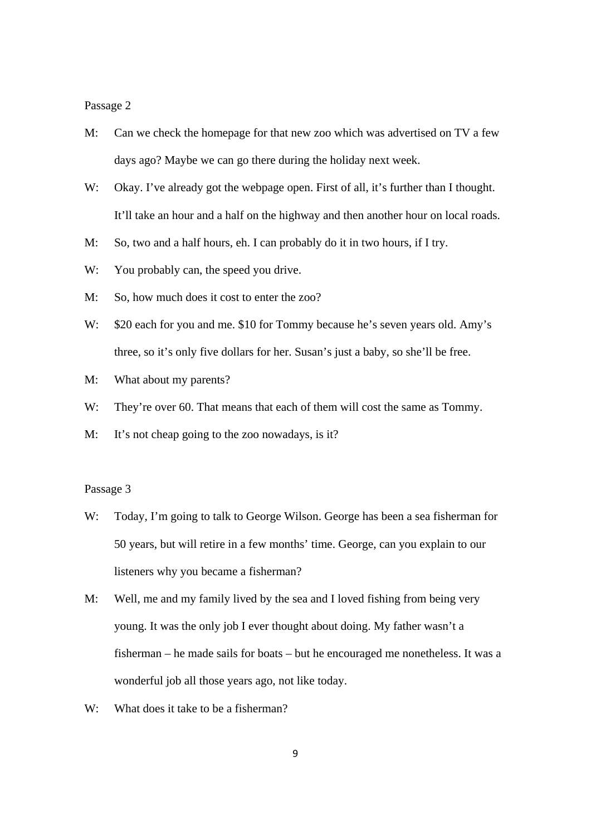Passage 2

- M: Can we check the homepage for that new zoo which was advertised on TV a few days ago? Maybe we can go there during the holiday next week.
- W: Okay. I've already got the webpage open. First of all, it's further than I thought. It'll take an hour and a half on the highway and then another hour on local roads.
- M: So, two and a half hours, eh. I can probably do it in two hours, if I try.
- W: You probably can, the speed you drive.
- M: So, how much does it cost to enter the zoo?
- W: \$20 each for you and me. \$10 for Tommy because he's seven years old. Amy's three, so it's only five dollars for her. Susan's just a baby, so she'll be free.
- M: What about my parents?
- W: They're over 60. That means that each of them will cost the same as Tommy.
- M: It's not cheap going to the zoo nowadays, is it?

### Passage 3

- W: Today, I'm going to talk to George Wilson. George has been a sea fisherman for 50 years, but will retire in a few months' time. George, can you explain to our listeners why you became a fisherman?
- M: Well, me and my family lived by the sea and I loved fishing from being very young. It was the only job I ever thought about doing. My father wasn't a fisherman – he made sails for boats – but he encouraged me nonetheless. It was a wonderful job all those years ago, not like today.
- W: What does it take to be a fisherman?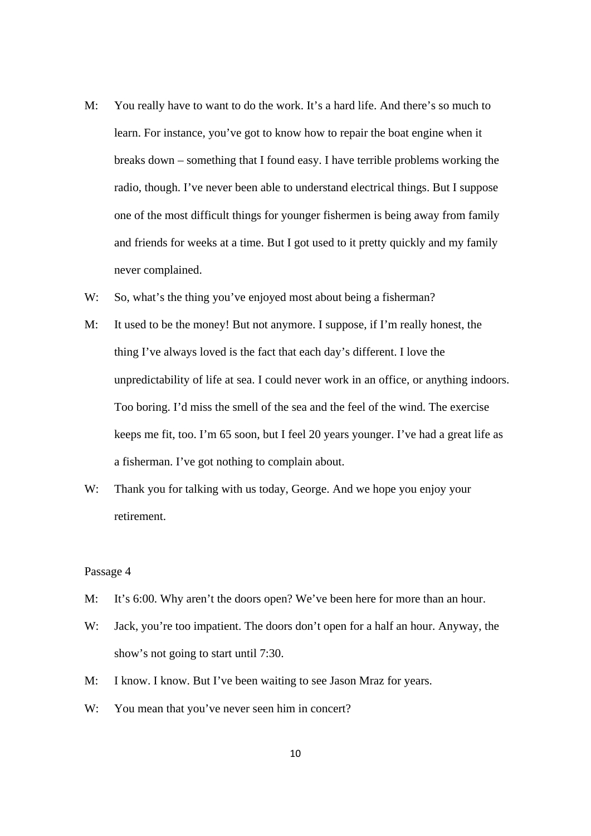- M: You really have to want to do the work. It's a hard life. And there's so much to learn. For instance, you've got to know how to repair the boat engine when it breaks down – something that I found easy. I have terrible problems working the radio, though. I've never been able to understand electrical things. But I suppose one of the most difficult things for younger fishermen is being away from family and friends for weeks at a time. But I got used to it pretty quickly and my family never complained.
- W: So, what's the thing you've enjoyed most about being a fisherman?
- M: It used to be the money! But not anymore. I suppose, if I'm really honest, the thing I've always loved is the fact that each day's different. I love the unpredictability of life at sea. I could never work in an office, or anything indoors. Too boring. I'd miss the smell of the sea and the feel of the wind. The exercise keeps me fit, too. I'm 65 soon, but I feel 20 years younger. I've had a great life as a fisherman. I've got nothing to complain about.
- W: Thank you for talking with us today, George. And we hope you enjoy your retirement.

#### Passage 4

- M: It's 6:00. Why aren't the doors open? We've been here for more than an hour.
- W: Jack, you're too impatient. The doors don't open for a half an hour. Anyway, the show's not going to start until 7:30.
- M: I know. I know. But I've been waiting to see Jason Mraz for years.
- W: You mean that you've never seen him in concert?